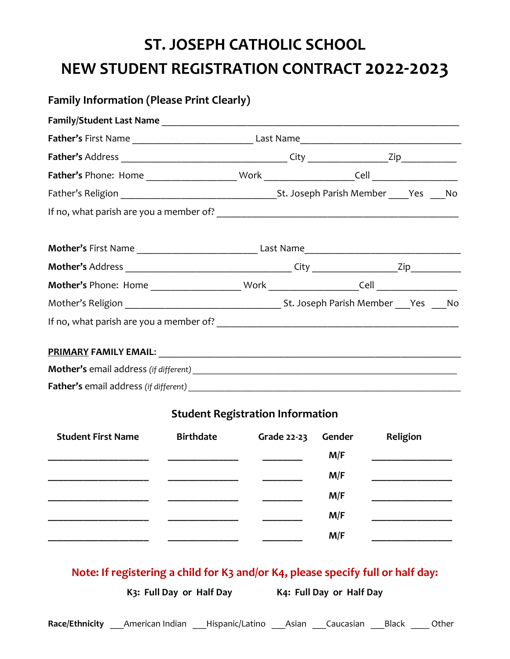## **ST. JOSEPH CATHOLIC SCHOOL NEW STUDENT REGISTRATION CONTRACT 2022-2023**

| <b>Family Information (Please Print Clearly)</b>                           |  |                  |                                         |  |  |                                                                                 |  |  |  |  |
|----------------------------------------------------------------------------|--|------------------|-----------------------------------------|--|--|---------------------------------------------------------------------------------|--|--|--|--|
|                                                                            |  |                  |                                         |  |  |                                                                                 |  |  |  |  |
|                                                                            |  |                  |                                         |  |  |                                                                                 |  |  |  |  |
|                                                                            |  |                  |                                         |  |  |                                                                                 |  |  |  |  |
|                                                                            |  |                  |                                         |  |  |                                                                                 |  |  |  |  |
|                                                                            |  |                  |                                         |  |  |                                                                                 |  |  |  |  |
|                                                                            |  |                  |                                         |  |  |                                                                                 |  |  |  |  |
|                                                                            |  |                  |                                         |  |  |                                                                                 |  |  |  |  |
|                                                                            |  |                  |                                         |  |  |                                                                                 |  |  |  |  |
|                                                                            |  |                  |                                         |  |  |                                                                                 |  |  |  |  |
|                                                                            |  |                  |                                         |  |  |                                                                                 |  |  |  |  |
|                                                                            |  |                  |                                         |  |  |                                                                                 |  |  |  |  |
|                                                                            |  |                  |                                         |  |  |                                                                                 |  |  |  |  |
|                                                                            |  |                  |                                         |  |  |                                                                                 |  |  |  |  |
|                                                                            |  |                  |                                         |  |  |                                                                                 |  |  |  |  |
|                                                                            |  |                  | <b>Student Registration Information</b> |  |  |                                                                                 |  |  |  |  |
| <b>Student First Name</b>                                                  |  | <b>Birthdate</b> |                                         |  |  | Grade 22-23 Gender<br>Religion<br>M/F                                           |  |  |  |  |
|                                                                            |  |                  |                                         |  |  | M/F                                                                             |  |  |  |  |
|                                                                            |  |                  |                                         |  |  | M/F                                                                             |  |  |  |  |
|                                                                            |  |                  |                                         |  |  | M/F                                                                             |  |  |  |  |
|                                                                            |  |                  |                                         |  |  | M/F                                                                             |  |  |  |  |
|                                                                            |  |                  |                                         |  |  |                                                                                 |  |  |  |  |
|                                                                            |  |                  |                                         |  |  | Note: If registering a child for K3 and/or K4, please specify full or half day: |  |  |  |  |
|                                                                            |  |                  |                                         |  |  | K3: Full Day or Half Day K4: Full Day or Half Day                               |  |  |  |  |
| Race/Ethnicity American Indian Hispanic/Latino Asian Caucasian Black Other |  |                  |                                         |  |  |                                                                                 |  |  |  |  |